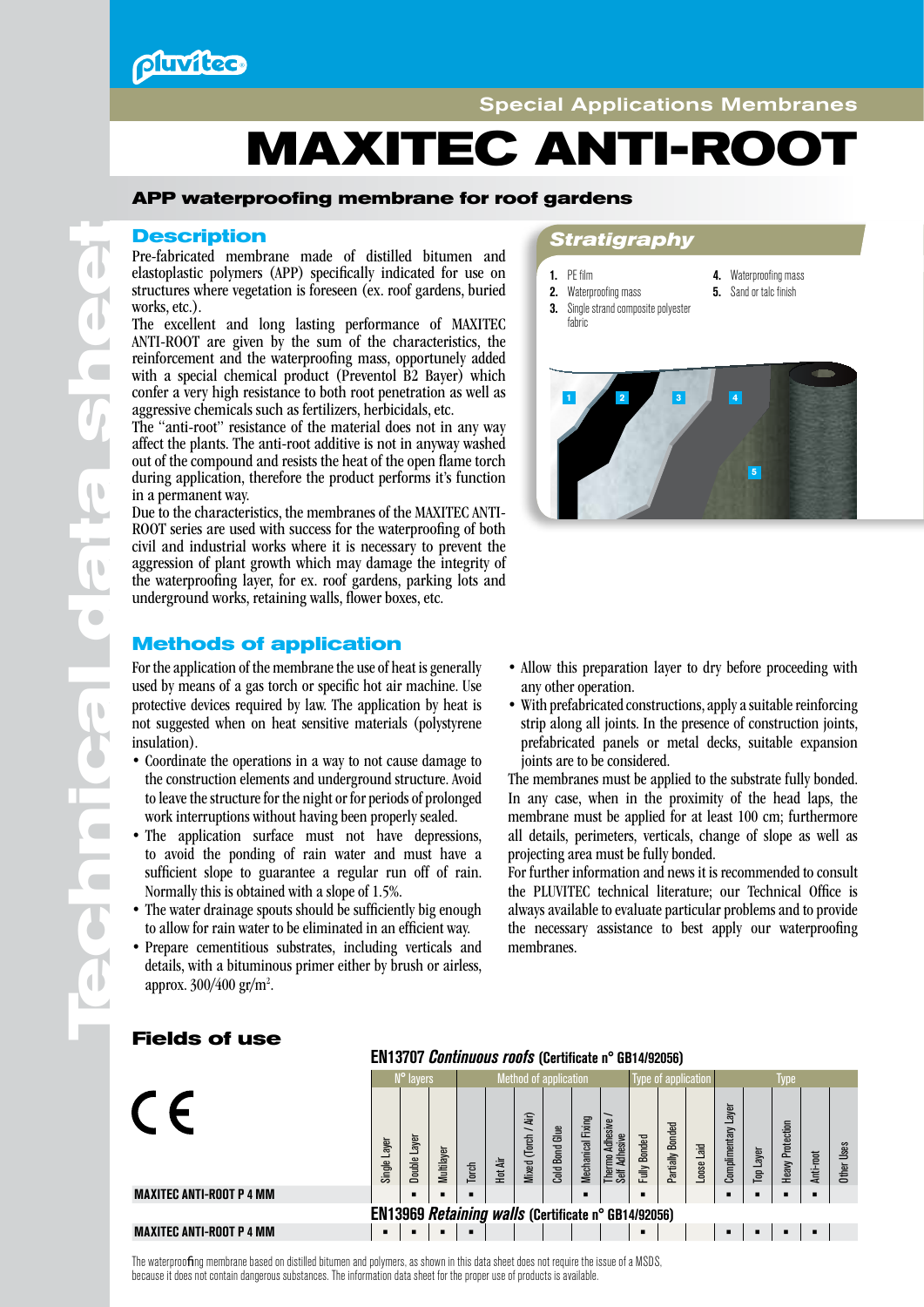**Pluvitec** 

# **MAXITEC ANTI-ROOT**

### **APP waterproofing membrane for roof gardens**

Pre-fabricated membrane made of distilled bitumen and elastoplastic polymers (APP) specifically indicated for use on structures where vegetation is foreseen (ex. roof gardens, buried works, etc.).

The excellent and long lasting performance of MAXITEC ANTI-ROOT are given by the sum of the characteristics, the reinforcement and the waterproofing mass, opportunely added with a special chemical product (Preventol B2 Bayer) which confer a very high resistance to both root penetration as well as aggressive chemicals such as fertilizers, herbicidals, etc.

The "anti-root" resistance of the material does not in any way affect the plants. The anti-root additive is not in anyway washed out of the compound and resists the heat of the open flame torch during application, therefore the product performs it's function in a permanent way.

Due to the characteristics, the membranes of the MAXITEC ANTI-ROOT series are used with success for the waterproofing of both civil and industrial works where it is necessary to prevent the aggression of plant growth which may damage the integrity of the waterproofing layer, for ex. roof gardens, parking lots and underground works, retaining walls, flower boxes, etc.

### **Methods of application**

For the application of the membrane the use of heat is generally used by means of a gas torch or specific hot air machine. Use protective devices required by law. The application by heat is not suggested when on heat sensitive materials (polystyrene insulation).

- Coordinate the operations in a way to not cause damage to the construction elements and underground structure. Avoid to leave the structure for the night or for periods of prolonged work interruptions without having been properly sealed.
- The application surface must not have depressions, to avoid the ponding of rain water and must have a sufficient slope to guarantee a regular run off of rain. Normally this is obtained with a slope of 1.5%.
- The water drainage spouts should be sufficiently big enough to allow for rain water to be eliminated in an efficient way.
- Prepare cementitious substrates, including verticals and details, with a bituminous primer either by brush or airless, approx. 300/400 gr/m<sup>2</sup>.

### **Description** *Stratigraphy*

- 1. PE film
- 4. Waterproofing mass
- **5.** Sand or talc finish
- **3.** Single strand composite polyester fabric
- 
- 2. Waterproofing mass



- Allow this preparation layer to dry before proceeding with any other operation.
- With prefabricated constructions, apply a suitable reinforcing strip along all joints. In the presence of construction joints, prefabricated panels or metal decks, suitable expansion joints are to be considered.

The membranes must be applied to the substrate fully bonded. In any case, when in the proximity of the head laps, the membrane must be applied for at least 100 cm; furthermore all details, perimeters, verticals, change of slope as well as projecting area must be fully bonded.

For further information and news it is recommended to consult the PLUVITEC technical literature; our Technical Office is always available to evaluate particular problems and to provide the necessary assistance to best apply our waterproofing membranes.

### EN13707 *Continuous roofs* (Certificate n° GB14/92056) N° layers **Method of application** Type of application Type  $\epsilon$ Complimentary Layer Jomplimentary Layer Thermo Adhesive / *Nixed* (Torch / Air) Mixed (Torch / Air) **Mechanical Fixinc** Mechanical Fixing hermo Adhesive **Heavy Protection** Partially Bonded Heavy Protection Partially Bonded **Cold Bond Glue** Cold Bond Glue Fully Bonded Adhesive Self Adhesive Single Layer Double Laver Loose Laid Ither Uses Top Layer Anti-root Multilayer Hot Air Torch MAXITEC ANTI-ROOT P 4 MM **• • • • • • • • •** EN13969 *Retaining walls* (Certificate n° GB14/92056)<br>MAXITEC ANTI-ROOT P 4 MM MAXITEC ANTI-ROOT P 4 MM **• • • • • • • • •**

**Fields of use**

**Te**

**chnical da**

 $\overline{\phantom{a}}$ 

 $\overline{\phantom{a}}$ 

 $\blacksquare$ 

**ta sh**

 $\blacksquare$ 

 $\bigcirc$ 

**eet**

The waterproofing membrane based on distilled bitumen and polymers, as shown in this data sheet does not require the issue of a MSDS, because it does not contain dangerous substances. The information data sheet for the proper use of products is available.